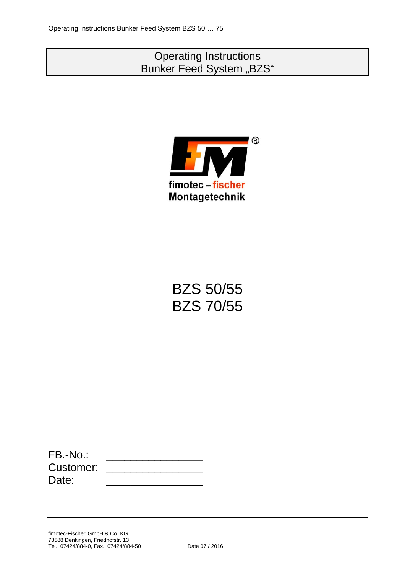# Operating Instructions Bunker Feed System "BZS"



# BZS 50/55 BZS 70/55

| $FB.-No.$ |  |
|-----------|--|
| Customer: |  |
| Date:     |  |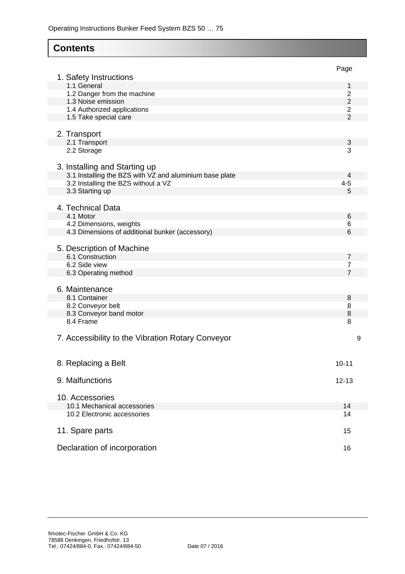# **Contents**

|                                                         | Page           |
|---------------------------------------------------------|----------------|
| 1. Safety Instructions<br>1.1 General                   | 1              |
| 1.2 Danger from the machine                             | 2              |
| 1.3 Noise emission                                      | $\overline{2}$ |
| 1.4 Authorized applications                             | $\overline{2}$ |
| 1.5 Take special care                                   | $\overline{2}$ |
|                                                         |                |
| 2. Transport                                            |                |
| 2.1 Transport                                           | 3              |
| 2.2 Storage                                             | 3              |
|                                                         |                |
| 3. Installing and Starting up                           |                |
| 3.1 Installing the BZS with VZ and aluminium base plate | 4              |
| 3.2 Installing the BZS without a VZ                     | $4 - 5$        |
| 3.3 Starting up                                         | 5              |
|                                                         |                |
| 4. Technical Data                                       |                |
| 4.1 Motor                                               | 6              |
| 4.2 Dimensions, weights                                 | 6              |
| 4.3 Dimensions of additional bunker (accessory)         | 6              |
|                                                         |                |
| 5. Description of Machine                               |                |
| 6.1 Construction                                        | 7              |
| 6.2 Side view                                           | 7              |
| 6.3 Operating method                                    | 7              |
|                                                         |                |
| 6. Maintenance                                          |                |
| 8.1 Container                                           | 8              |
| 8.2 Conveyor belt                                       | 8              |
| 8.3 Conveyor band motor                                 | 8              |
| 8.4 Frame                                               | 8              |
|                                                         |                |
| 7. Accessibility to the Vibration Rotary Conveyor       | 9              |
|                                                         |                |
|                                                         |                |
| 8. Replacing a Belt                                     | $10 - 11$      |
|                                                         |                |
| 9. Malfunctions                                         | $12 - 13$      |
|                                                         |                |
| 10. Accessories                                         |                |
| 10.1 Mechanical accessories                             | 14             |
| 10.2 Electronic accessories                             | 14             |
|                                                         |                |
| 11. Spare parts                                         | 15             |
|                                                         |                |
| Declaration of incorporation                            | 16             |
|                                                         |                |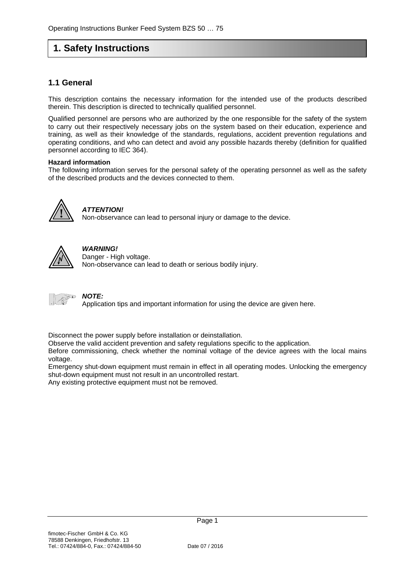# **1. Safety Instructions**

### **1.1 General**

This description contains the necessary information for the intended use of the products described therein. This description is directed to technically qualified personnel.

Qualified personnel are persons who are authorized by the one responsible for the safety of the system to carry out their respectively necessary jobs on the system based on their education, experience and training, as well as their knowledge of the standards, regulations, accident prevention regulations and operating conditions, and who can detect and avoid any possible hazards thereby (definition for qualified personnel according to IEC 364).

#### **Hazard information**

The following information serves for the personal safety of the operating personnel as well as the safety of the described products and the devices connected to them.



## *ATTENTION!*

Non-observance can lead to personal injury or damage to the device.



# *WARNING!*

Danger - High voltage. Non-observance can lead to death or serious bodily injury.



#### *NOTE:*

Application tips and important information for using the device are given here.

Disconnect the power supply before installation or deinstallation.

Observe the valid accident prevention and safety regulations specific to the application.

Before commissioning, check whether the nominal voltage of the device agrees with the local mains voltage.

Emergency shut-down equipment must remain in effect in all operating modes. Unlocking the emergency shut-down equipment must not result in an uncontrolled restart.

Any existing protective equipment must not be removed.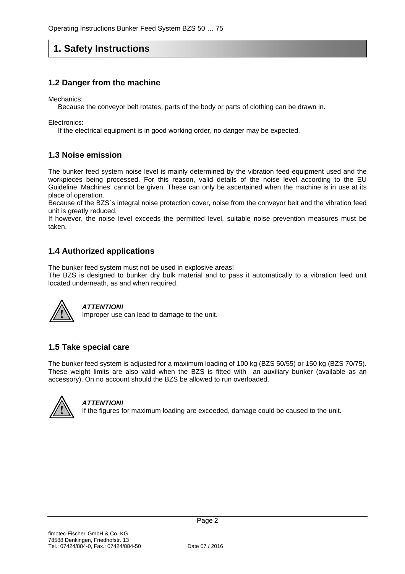# **1. Safety Instructions**

### **1.2 Danger from the machine**

Mechanics:

Because the conveyor belt rotates, parts of the body or parts of clothing can be drawn in.

Electronics:

If the electrical equipment is in good working order, no danger may be expected.

#### **1.3 Noise emission**

The bunker feed system noise level is mainly determined by the vibration feed equipment used and the workpieces being processed. For this reason, valid details of the noise level according to the EU Guideline 'Machines' cannot be given. These can only be ascertained when the machine is in use at its place of operation.

Because of the BZS´s integral noise protection cover, noise from the conveyor belt and the vibration feed unit is greatly reduced.

If however, the noise level exceeds the permitted level, suitable noise prevention measures must be taken.

## **1.4 Authorized applications**

The bunker feed system must not be used in explosive areas!

The BZS is designed to bunker dry bulk material and to pass it automatically to a vibration feed unit located underneath, as and when required.



#### *ATTENTION!*

Improper use can lead to damage to the unit.

### **1.5 Take special care**

The bunker feed system is adjusted for a maximum loading of 100 kg (BZS 50/55) or 150 kg (BZS 70/75). These weight limits are also valid when the BZS is fitted with an auxiliary bunker (available as an accessory). On no account should the BZS be allowed to run overloaded.



#### *ATTENTION!*

**!** If the figures for maximum loading are exceeded, damage could be caused to the unit.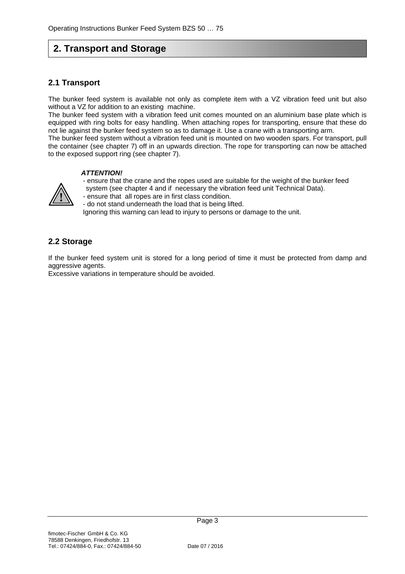# **2. Transport and Storage**

### **2.1 Transport**

The bunker feed system is available not only as complete item with a VZ vibration feed unit but also without a VZ for addition to an existing machine.

The bunker feed system with a vibration feed unit comes mounted on an aluminium base plate which is equipped with ring bolts for easy handling. When attaching ropes for transporting, ensure that these do not lie against the bunker feed system so as to damage it. Use a crane with a transporting arm.

The bunker feed system without a vibration feed unit is mounted on two wooden spars. For transport, pull the container (see chapter 7) off in an upwards direction. The rope for transporting can now be attached to the exposed support ring (see chapter 7).

#### *ATTENTION!*

- ensure that the crane and the ropes used are suitable for the weight of the bunker feed
- system (see chapter 4 and if necessary the vibration feed unit Technical Data).
- ensure that all ropes are in first class condition. **!**

- do not stand underneath the load that is being lifted.

Ignoring this warning can lead to injury to persons or damage to the unit.

### **2.2 Storage**

If the bunker feed system unit is stored for a long period of time it must be protected from damp and aggressive agents.

Excessive variations in temperature should be avoided.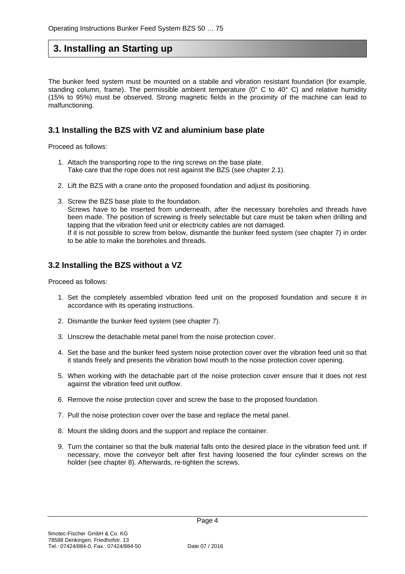# **3. Installing an Starting up**

The bunker feed system must be mounted on a stabile and vibration resistant foundation (for example, standing column, frame). The permissible ambient temperature ( $0^{\circ}$  C to 40° C) and relative humidity (15% to 95%) must be observed. Strong magnetic fields in the proximity of the machine can lead to malfunctioning.

### **3.1 Installing the BZS with VZ and aluminium base plate**

Proceed as follows:

- 1. Attach the transporting rope to the ring screws on the base plate. Take care that the rope does not rest against the BZS (see chapter 2.1).
- 2. Lift the BZS with a crane onto the proposed foundation and adjust its positioning.
- 3. Screw the BZS base plate to the foundation. Screws have to be inserted from underneath, after the necessary boreholes and threads have been made. The position of screwing is freely selectable but care must be taken when drilling and tapping that the vibration feed unit or electricity cables are not damaged. If it is not possible to screw from below, dismantle the bunker feed system (see chapter 7) in order to be able to make the boreholes and threads.

### **3.2 Installing the BZS without a VZ**

Proceed as follows:

- 1. Set the completely assembled vibration feed unit on the proposed foundation and secure it in accordance with its operating instructions.
- 2. Dismantle the bunker feed system (see chapter 7).
- 3. Unscrew the detachable metal panel from the noise protection cover.
- 4. Set the base and the bunker feed system noise protection cover over the vibration feed unit so that it stands freely and presents the vibration bowl mouth to the noise protection cover opening.
- 5. When working with the detachable part of the noise protection cover ensure that it does not rest against the vibration feed unit outflow.
- 6. Remove the noise protection cover and screw the base to the proposed foundation.
- 7. Pull the noise protection cover over the base and replace the metal panel.
- 8. Mount the sliding doors and the support and replace the container.
- 9. Turn the container so that the bulk material falls onto the desired place in the vibration feed unit. If necessary, move the conveyor belt after first having loosened the four cylinder screws on the holder (see chapter 8). Afterwards, re-tighten the screws.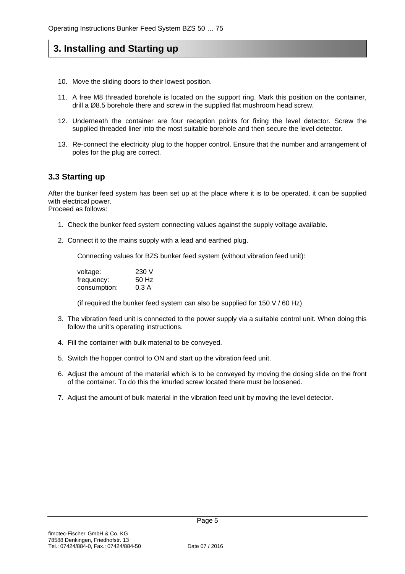# **3. Installing and Starting up**

- 10. Move the sliding doors to their lowest position.
- 11. A free M8 threaded borehole is located on the support ring. Mark this position on the container, drill a Ø8.5 borehole there and screw in the supplied flat mushroom head screw.
- 12. Underneath the container are four reception points for fixing the level detector. Screw the supplied threaded liner into the most suitable borehole and then secure the level detector.
- 13. Re-connect the electricity plug to the hopper control. Ensure that the number and arrangement of poles for the plug are correct.

### **3.3 Starting up**

After the bunker feed system has been set up at the place where it is to be operated, it can be supplied with electrical power. Proceed as follows:

- 1. Check the bunker feed system connecting values against the supply voltage available.
- 2. Connect it to the mains supply with a lead and earthed plug.

Connecting values for BZS bunker feed system (without vibration feed unit):

| voltage:     | 230 V |
|--------------|-------|
| frequency:   | 50 Hz |
| consumption: | 0.3 A |

(if required the bunker feed system can also be supplied for  $150 \text{ V}$  / 60 Hz)

- 3. The vibration feed unit is connected to the power supply via a suitable control unit. When doing this follow the unit's operating instructions.
- 4. Fill the container with bulk material to be conveyed.
- 5. Switch the hopper control to ON and start up the vibration feed unit.
- 6. Adjust the amount of the material which is to be conveyed by moving the dosing slide on the front of the container. To do this the knurled screw located there must be loosened.
- 7. Adjust the amount of bulk material in the vibration feed unit by moving the level detector.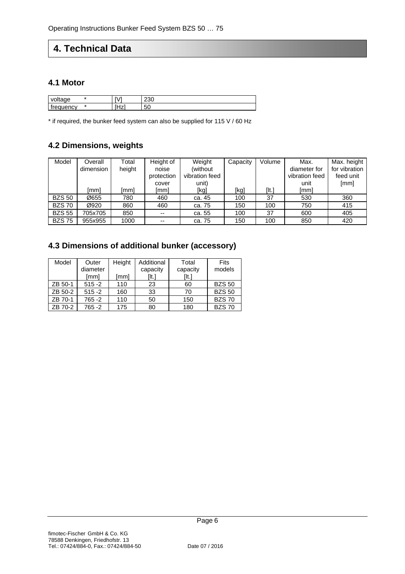# **4. Technical Data**

### **4.1 Motor**

| $\mathcal{U}$<br>ae<br>⊸<br>. |    |     | $\sim$<br>-- |
|-------------------------------|----|-----|--------------|
| $\sim$<br>⊶י<br>1CV<br>.<br>. | ж. | . . | $\sim$<br>∽  |

\* if required, the bunker feed system can also be supplied for 115 V / 60 Hz

## **4.2 Dimensions, weights**

| Model         | Overall   | Total  | Height of  | Weight         | Capacity | Volume | Max.           | Max. height   |
|---------------|-----------|--------|------------|----------------|----------|--------|----------------|---------------|
|               | dimension | height | noise      | (without)      |          |        | diameter for   | for vibration |
|               |           |        | protection | vibration feed |          |        | vibration feed | feed unit     |
|               |           |        | cover      | unit)          |          |        | unit           | [mm]          |
|               | [mm]      | [mm]   | [mm]       | [kg]           | [kg]     | [lt.]  | [mm]           |               |
| <b>BZS 50</b> | Ø655      | 780    | 460        | ca. 45         | 100      | 37     | 530            | 360           |
| <b>BZS70</b>  | Ø920      | 860    | 460        | ca. 75         | 150      | 100    | 750            | 415           |
| <b>BZS 55</b> | 705x705   | 850    | $-$        | ca. 55         | 100      | 37     | 600            | 405           |
| <b>BZS75</b>  | 955x955   | 1000   | $- -$      | ca. 75         | 150      | 100    | 850            | 420           |

## **4.3 Dimensions of additional bunker (accessory)**

| Model   | Outer     | Height | Additional | Total    | Fits          |
|---------|-----------|--------|------------|----------|---------------|
|         | diameter  |        | capacity   | capacity | models        |
|         | [mm]      | [mm]   | [lt.]      | [It.]    |               |
| ZB 50-1 | $515 - 2$ | 110    | 23         | 60       | <b>BZS 50</b> |
| ZB 50-2 | $515 - 2$ | 160    | 33         | 70       | <b>BZS 50</b> |
| ZB 70-1 | 765 -2    | 110    | 50         | 150      | <b>BZS70</b>  |
| ZB 70-2 | 765 -2    | 175    | 80         | 180      | <b>BZS70</b>  |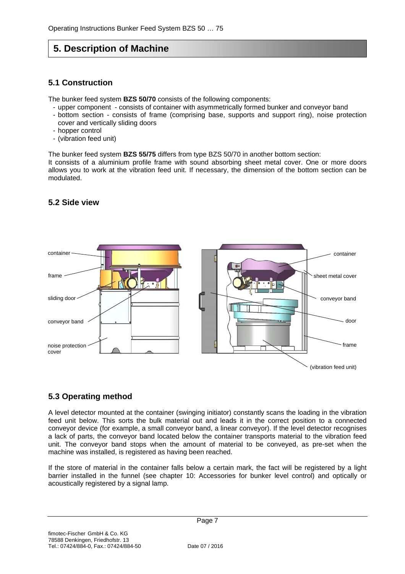# **5. Description of Machine**

### **5.1 Construction**

The bunker feed system **BZS 50/70** consists of the following components:

- upper component consists of container with asymmetrically formed bunker and conveyor band
- bottom section consists of frame (comprising base, supports and support ring), noise protection cover and vertically sliding doors
- hopper control
- (vibration feed unit)

The bunker feed system **BZS 55/75** differs from type BZS 50/70 in another bottom section:

It consists of a aluminium profile frame with sound absorbing sheet metal cover. One or more doors allows you to work at the vibration feed unit. If necessary, the dimension of the bottom section can be modulated.



## **5.2 Side view**

### **5.3 Operating method**

A level detector mounted at the container (swinging initiator) constantly scans the loading in the vibration feed unit below. This sorts the bulk material out and leads it in the correct position to a connected conveyor device (for example, a small conveyor band, a linear conveyor). If the level detector recognises a lack of parts, the conveyor band located below the container transports material to the vibration feed unit. The conveyor band stops when the amount of material to be conveyed, as pre-set when the machine was installed, is registered as having been reached.

If the store of material in the container falls below a certain mark, the fact will be registered by a light barrier installed in the funnel (see chapter 10: Accessories for bunker level control) and optically or acoustically registered by a signal lamp.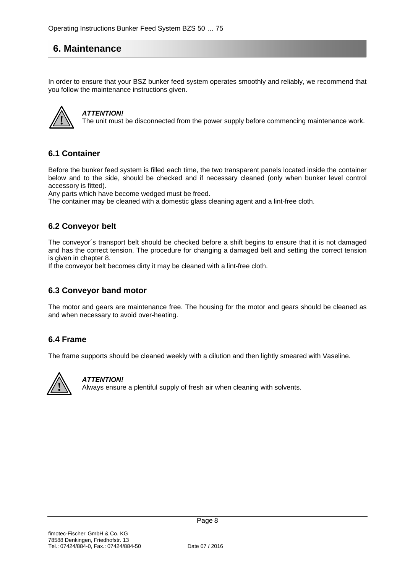# **6. Maintenance**

In order to ensure that your BSZ bunker feed system operates smoothly and reliably, we recommend that you follow the maintenance instructions given.



#### *ATTENTION!*

The unit must be disconnected from the power supply before commencing maintenance work.

#### **6.1 Container**

Before the bunker feed system is filled each time, the two transparent panels located inside the container below and to the side, should be checked and if necessary cleaned (only when bunker level control accessory is fitted).

Any parts which have become wedged must be freed.

The container may be cleaned with a domestic glass cleaning agent and a lint-free cloth.

#### **6.2 Conveyor belt**

The conveyor´s transport belt should be checked before a shift begins to ensure that it is not damaged and has the correct tension. The procedure for changing a damaged belt and setting the correct tension is given in chapter 8.

If the conveyor belt becomes dirty it may be cleaned with a lint-free cloth.

#### **6.3 Conveyor band motor**

The motor and gears are maintenance free. The housing for the motor and gears should be cleaned as and when necessary to avoid over-heating.

#### **6.4 Frame**

The frame supports should be cleaned weekly with a dilution and then lightly smeared with Vaseline.



#### *ATTENTION!*

**!** Always ensure a plentiful supply of fresh air when cleaning with solvents.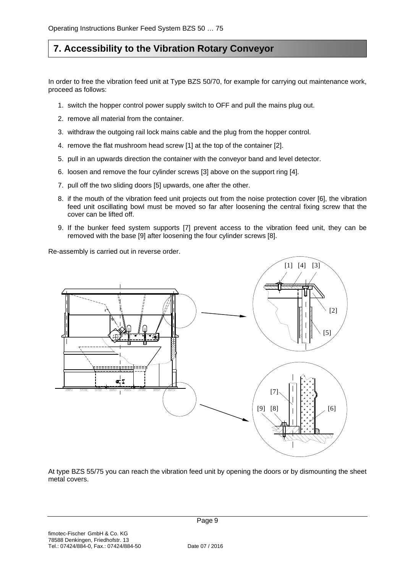# **7. Accessibility to the Vibration Rotary Conveyor**

In order to free the vibration feed unit at Type BZS 50/70, for example for carrying out maintenance work, proceed as follows:

- 1. switch the hopper control power supply switch to OFF and pull the mains plug out.
- 2. remove all material from the container.
- 3. withdraw the outgoing rail lock mains cable and the plug from the hopper control.
- 4. remove the flat mushroom head screw [1] at the top of the container [2].
- 5. pull in an upwards direction the container with the conveyor band and level detector.
- 6. loosen and remove the four cylinder screws [3] above on the support ring [4].
- 7. pull off the two sliding doors [5] upwards, one after the other.
- 8. if the mouth of the vibration feed unit projects out from the noise protection cover [6], the vibration feed unit oscillating bowl must be moved so far after loosening the central fixing screw that the cover can be lifted off.
- 9. If the bunker feed system supports [7] prevent access to the vibration feed unit, they can be removed with the base [9] after loosening the four cylinder screws [8].

Re-assembly is carried out in reverse order.



At type BZS 55/75 you can reach the vibration feed unit by opening the doors or by dismounting the sheet metal covers.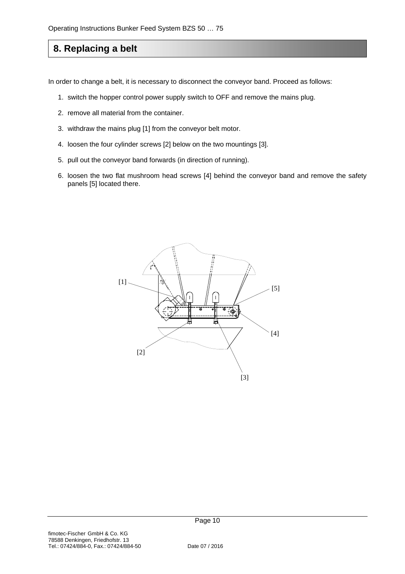# **8. Replacing a belt**

In order to change a belt, it is necessary to disconnect the conveyor band. Proceed as follows:

- 1. switch the hopper control power supply switch to OFF and remove the mains plug.
- 2. remove all material from the container.
- 3. withdraw the mains plug [1] from the conveyor belt motor.
- 4. loosen the four cylinder screws [2] below on the two mountings [3].
- 5. pull out the conveyor band forwards (in direction of running).
- 6. loosen the two flat mushroom head screws [4] behind the conveyor band and remove the safety panels [5] located there.

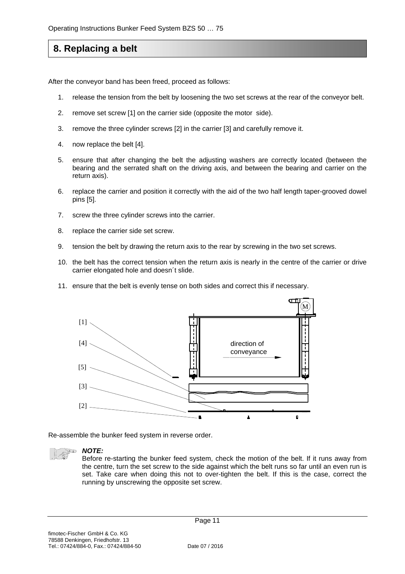# **8. Replacing a belt**

After the conveyor band has been freed, proceed as follows:

- 1. release the tension from the belt by loosening the two set screws at the rear of the conveyor belt.
- 2. remove set screw [1] on the carrier side (opposite the motor side).
- 3. remove the three cylinder screws [2] in the carrier [3] and carefully remove it.
- 4. now replace the belt [4].
- 5. ensure that after changing the belt the adjusting washers are correctly located (between the bearing and the serrated shaft on the driving axis, and between the bearing and carrier on the return axis).
- 6. replace the carrier and position it correctly with the aid of the two half length taper-grooved dowel pins [5].
- 7. screw the three cylinder screws into the carrier.
- 8. replace the carrier side set screw.
- 9. tension the belt by drawing the return axis to the rear by screwing in the two set screws.
- 10. the belt has the correct tension when the return axis is nearly in the centre of the carrier or drive carrier elongated hole and doesn´t slide.
- 11. ensure that the belt is evenly tense on both sides and correct this if necessary.



Re-assemble the bunker feed system in reverse order.



#### *NOTE:*

Before re-starting the bunker feed system, check the motion of the belt. If it runs away from the centre, turn the set screw to the side against which the belt runs so far until an even run is set. Take care when doing this not to over-tighten the belt. If this is the case, correct the running by unscrewing the opposite set screw.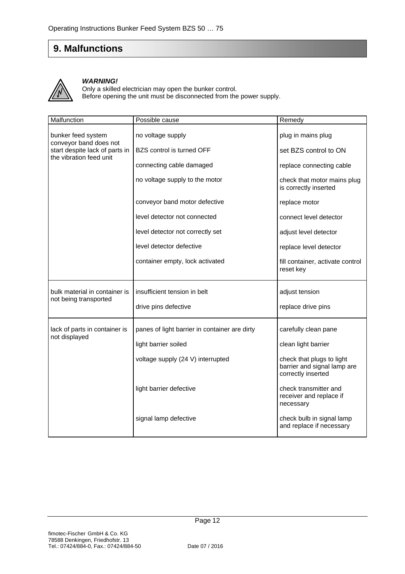# **9. Malfunctions**



#### *WARNING!*

Only a skilled electrician may open the bunker control. Before opening the unit must be disconnected from the power supply.

| Malfunction                                               | Possible cause                                | Remedy                                                                         |
|-----------------------------------------------------------|-----------------------------------------------|--------------------------------------------------------------------------------|
| bunker feed system<br>conveyor band does not              | no voltage supply                             | plug in mains plug                                                             |
| start despite lack of parts in<br>the vibration feed unit | BZS control is turned OFF                     | set BZS control to ON                                                          |
|                                                           | connecting cable damaged                      | replace connecting cable                                                       |
|                                                           | no voltage supply to the motor                | check that motor mains plug<br>is correctly inserted                           |
|                                                           | conveyor band motor defective                 | replace motor                                                                  |
|                                                           | level detector not connected                  | connect level detector                                                         |
|                                                           | level detector not correctly set              | adjust level detector                                                          |
|                                                           | level detector defective                      | replace level detector                                                         |
|                                                           | container empty, lock activated               | fill container, activate control<br>reset key                                  |
| bulk material in container is<br>not being transported    | insufficient tension in belt                  | adjust tension                                                                 |
|                                                           | drive pins defective                          | replace drive pins                                                             |
| lack of parts in container is<br>not displayed            | panes of light barrier in container are dirty | carefully clean pane                                                           |
|                                                           | light barrier soiled                          | clean light barrier                                                            |
|                                                           | voltage supply (24 V) interrupted             | check that plugs to light<br>barrier and signal lamp are<br>correctly inserted |
|                                                           | light barrier defective                       | check transmitter and<br>receiver and replace if<br>necessary                  |
|                                                           | signal lamp defective                         | check bulb in signal lamp<br>and replace if necessary                          |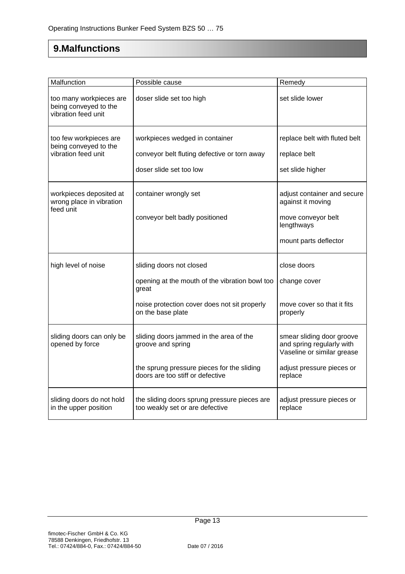# **9.Malfunctions**

| Malfunction                                                             | Possible cause                                                                                                                                           | Remedy                                                                                                                       |
|-------------------------------------------------------------------------|----------------------------------------------------------------------------------------------------------------------------------------------------------|------------------------------------------------------------------------------------------------------------------------------|
| too many workpieces are<br>being conveyed to the<br>vibration feed unit | doser slide set too high                                                                                                                                 | set slide lower                                                                                                              |
| too few workpieces are<br>being conveyed to the<br>vibration feed unit  | workpieces wedged in container<br>conveyor belt fluting defective or torn away<br>doser slide set too low                                                | replace belt with fluted belt<br>replace belt<br>set slide higher                                                            |
| workpieces deposited at<br>wrong place in vibration<br>feed unit        | container wrongly set<br>conveyor belt badly positioned                                                                                                  | adjust container and secure<br>against it moving<br>move conveyor belt<br>lengthways<br>mount parts deflector                |
| high level of noise                                                     | sliding doors not closed<br>opening at the mouth of the vibration bowl too<br>great<br>noise protection cover does not sit properly<br>on the base plate | close doors<br>change cover<br>move cover so that it fits<br>properly                                                        |
| sliding doors can only be<br>opened by force                            | sliding doors jammed in the area of the<br>groove and spring<br>the sprung pressure pieces for the sliding<br>doors are too stiff or defective           | smear sliding door groove<br>and spring regularly with<br>Vaseline or similar grease<br>adjust pressure pieces or<br>replace |
| sliding doors do not hold<br>in the upper position                      | the sliding doors sprung pressure pieces are<br>too weakly set or are defective                                                                          | adjust pressure pieces or<br>replace                                                                                         |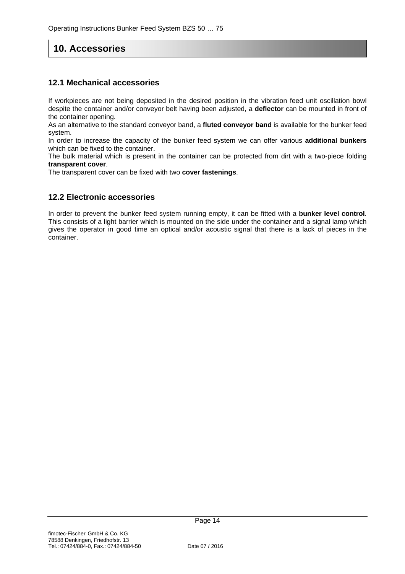# **10. Accessories**

### **12.1 Mechanical accessories**

If workpieces are not being deposited in the desired position in the vibration feed unit oscillation bowl despite the container and/or conveyor belt having been adjusted, a **deflector** can be mounted in front of the container opening.

As an alternative to the standard conveyor band, a **fluted conveyor band** is available for the bunker feed system.

In order to increase the capacity of the bunker feed system we can offer various **additional bunkers** which can be fixed to the container.

The bulk material which is present in the container can be protected from dirt with a two-piece folding **transparent cover**.

The transparent cover can be fixed with two **cover fastenings**.

#### **12.2 Electronic accessories**

In order to prevent the bunker feed system running empty, it can be fitted with a **bunker level control**. This consists of a light barrier which is mounted on the side under the container and a signal lamp which gives the operator in good time an optical and/or acoustic signal that there is a lack of pieces in the container.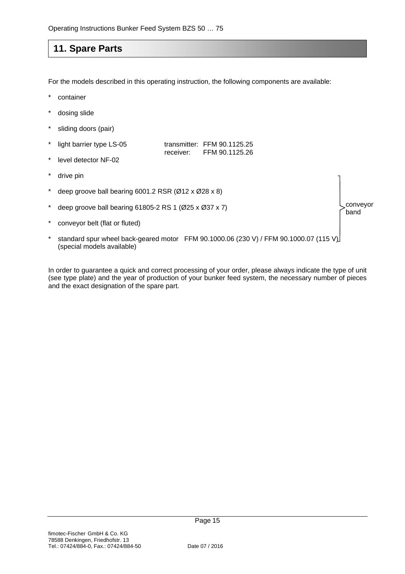# **11. Spare Parts**

For the models described in this operating instruction, the following components are available:

- container
- dosing slide
- sliding doors (pair)

| * light barrier type LS-05 |           | transmitter: FFM $90.1125.25$ |
|----------------------------|-----------|-------------------------------|
|                            | receiver: | FFM 90.1125.26                |

- level detector NF-02
- drive pin
- \* deep groove ball bearing 6001.2 RSR (Ø12 x Ø28 x 8)
- \* deep groove ball bearing 61805-2 RS 1  $(Ø25 \times Ø37 \times 7)$
- conveyor belt (flat or fluted)
- standard spur wheel back-geared motor FFM 90.1000.06 (230 V) / FFM 90.1000.07 (115 V) (special models available)

In order to guarantee a quick and correct processing of your order, please always indicate the type of unit (see type plate) and the year of production of your bunker feed system, the necessary number of pieces and the exact designation of the spare part.

conveyor band